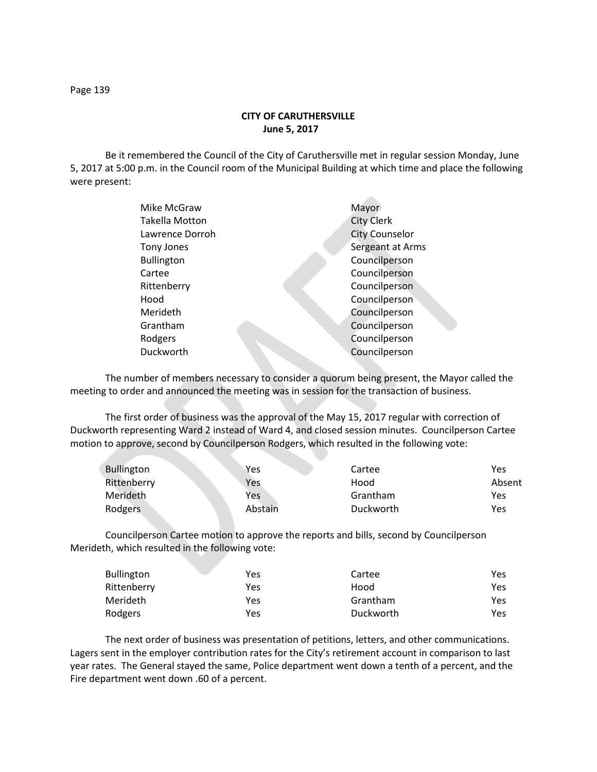## **CITY OF CARUTHERSVILLE June 5, 2017**

Be it remembered the Council of the City of Caruthersville met in regular session Monday, June 5, 2017 at 5:00 p.m. in the Council room of the Municipal Building at which time and place the following were present:

| Mike McGraw       | Mayor                 |
|-------------------|-----------------------|
| Takella Motton    | <b>City Clerk</b>     |
| Lawrence Dorroh   | <b>City Counselor</b> |
| Tony Jones        | Sergeant at Arms      |
| <b>Bullington</b> | Councilperson         |
| Cartee            | Councilperson         |
| Rittenberry       | Councilperson         |
| Hood              | Councilperson         |
| Merideth          | Councilperson         |
| Grantham          | Councilperson         |
| Rodgers           | Councilperson         |
| Duckworth         | Councilperson         |
|                   |                       |

The number of members necessary to consider a quorum being present, the Mayor called the meeting to order and announced the meeting was in session for the transaction of business.

The first order of business was the approval of the May 15, 2017 regular with correction of Duckworth representing Ward 2 instead of Ward 4, and closed session minutes. Councilperson Cartee motion to approve, second by Councilperson Rodgers, which resulted in the following vote:

| <b>Bullington</b> | Yes     | Cartee    | Yes    |
|-------------------|---------|-----------|--------|
| Rittenberry       | Yes     | Hood      | Absent |
| Merideth          | Yes     | Grantham  | Yes    |
| Rodgers           | Abstain | Duckworth | Yes    |

Councilperson Cartee motion to approve the reports and bills, second by Councilperson Merideth, which resulted in the following vote:

| <b>Bullington</b> | Yes | Cartee    | Yes |
|-------------------|-----|-----------|-----|
| Rittenberry       | Yes | Hood      | Yes |
| Merideth          | Yes | Grantham  | Yes |
| Rodgers           | Yes | Duckworth | Yes |

The next order of business was presentation of petitions, letters, and other communications. Lagers sent in the employer contribution rates for the City's retirement account in comparison to last year rates. The General stayed the same, Police department went down a tenth of a percent, and the Fire department went down .60 of a percent.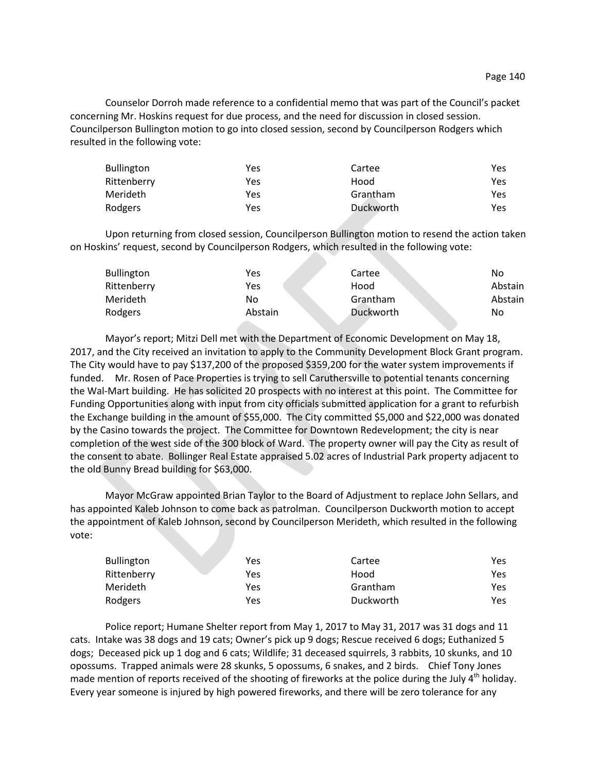Counselor Dorroh made reference to a confidential memo that was part of the Council's packet concerning Mr. Hoskins request for due process, and the need for discussion in closed session. Councilperson Bullington motion to go into closed session, second by Councilperson Rodgers which resulted in the following vote:

| <b>Bullington</b> | Yes | Cartee    | Yes |
|-------------------|-----|-----------|-----|
| Rittenberry       | Yes | Hood      | Yes |
| Merideth          | Yes | Grantham  | Yes |
| Rodgers           | Yes | Duckworth | Yes |

Upon returning from closed session, Councilperson Bullington motion to resend the action taken on Hoskins' request, second by Councilperson Rodgers, which resulted in the following vote:

| <b>Bullington</b> | Yes     | Cartee    | No      |
|-------------------|---------|-----------|---------|
| Rittenberry       | Yes     | Hood      | Abstain |
| <b>Merideth</b>   | No      | Grantham  | Abstain |
| Rodgers           | Abstain | Duckworth | No      |

Mayor's report; Mitzi Dell met with the Department of Economic Development on May 18, 2017, and the City received an invitation to apply to the Community Development Block Grant program. The City would have to pay \$137,200 of the proposed \$359,200 for the water system improvements if funded. Mr. Rosen of Pace Properties is trying to sell Caruthersville to potential tenants concerning the Wal-Mart building. He has solicited 20 prospects with no interest at this point. The Committee for Funding Opportunities along with input from city officials submitted application for a grant to refurbish the Exchange building in the amount of \$55,000. The City committed \$5,000 and \$22,000 was donated by the Casino towards the project. The Committee for Downtown Redevelopment; the city is near completion of the west side of the 300 block of Ward. The property owner will pay the City as result of the consent to abate. Bollinger Real Estate appraised 5.02 acres of Industrial Park property adjacent to the old Bunny Bread building for \$63,000.

Mayor McGraw appointed Brian Taylor to the Board of Adjustment to replace John Sellars, and has appointed Kaleb Johnson to come back as patrolman. Councilperson Duckworth motion to accept the appointment of Kaleb Johnson, second by Councilperson Merideth, which resulted in the following vote:

| <b>Bullington</b> | Yes | Cartee    | Yes |
|-------------------|-----|-----------|-----|
| Rittenberry       | Yes | Hood      | Yes |
| Merideth          | Yes | Grantham  | Yes |
| Rodgers           | Yes | Duckworth | Yes |

Police report; Humane Shelter report from May 1, 2017 to May 31, 2017 was 31 dogs and 11 cats. Intake was 38 dogs and 19 cats; Owner's pick up 9 dogs; Rescue received 6 dogs; Euthanized 5 dogs; Deceased pick up 1 dog and 6 cats; Wildlife; 31 deceased squirrels, 3 rabbits, 10 skunks, and 10 opossums. Trapped animals were 28 skunks, 5 opossums, 6 snakes, and 2 birds. Chief Tony Jones made mention of reports received of the shooting of fireworks at the police during the July  $4^{\text{th}}$  holiday. Every year someone is injured by high powered fireworks, and there will be zero tolerance for any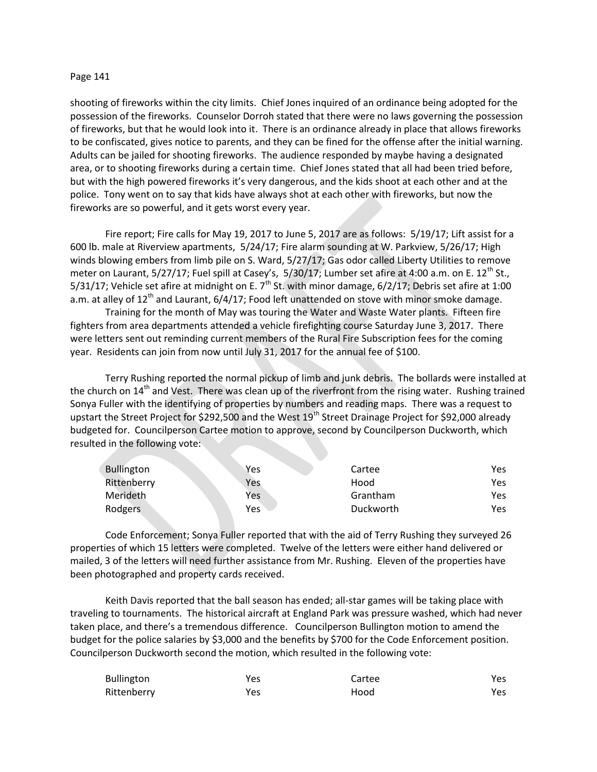## Page 141

shooting of fireworks within the city limits. Chief Jones inquired of an ordinance being adopted for the possession of the fireworks. Counselor Dorroh stated that there were no laws governing the possession of fireworks, but that he would look into it. There is an ordinance already in place that allows fireworks to be confiscated, gives notice to parents, and they can be fined for the offense after the initial warning. Adults can be jailed for shooting fireworks. The audience responded by maybe having a designated area, or to shooting fireworks during a certain time. Chief Jones stated that all had been tried before, but with the high powered fireworks it's very dangerous, and the kids shoot at each other and at the police. Tony went on to say that kids have always shot at each other with fireworks, but now the fireworks are so powerful, and it gets worst every year.

Fire report; Fire calls for May 19, 2017 to June 5, 2017 are as follows: 5/19/17; Lift assist for a 600 lb. male at Riverview apartments, 5/24/17; Fire alarm sounding at W. Parkview, 5/26/17; High winds blowing embers from limb pile on S. Ward, 5/27/17; Gas odor called Liberty Utilities to remove meter on Laurant,  $5/27/17$ ; Fuel spill at Casey's,  $5/30/17$ ; Lumber set afire at 4:00 a.m. on E. 12<sup>th</sup> St., 5/31/17; Vehicle set afire at midnight on E.  $7<sup>th</sup>$  St. with minor damage, 6/2/17; Debris set afire at 1:00 a.m. at alley of  $12^{th}$  and Laurant, 6/4/17; Food left unattended on stove with minor smoke damage.

Training for the month of May was touring the Water and Waste Water plants. Fifteen fire fighters from area departments attended a vehicle firefighting course Saturday June 3, 2017. There were letters sent out reminding current members of the Rural Fire Subscription fees for the coming year. Residents can join from now until July 31, 2017 for the annual fee of \$100.

Terry Rushing reported the normal pickup of limb and junk debris. The bollards were installed at the church on 14<sup>th</sup> and Vest. There was clean up of the riverfront from the rising water. Rushing trained Sonya Fuller with the identifying of properties by numbers and reading maps. There was a request to upstart the Street Project for \$292,500 and the West  $19<sup>th</sup>$  Street Drainage Project for \$92,000 already budgeted for. Councilperson Cartee motion to approve, second by Councilperson Duckworth, which resulted in the following vote:

| <b>Bullington</b> | Yes | Cartee    | Yes  |
|-------------------|-----|-----------|------|
| Rittenberry       | Yes | Hood      | Yes. |
| Merideth          | Yes | Grantham  | Yes. |
| Rodgers           | Yes | Duckworth | Yes  |

Code Enforcement; Sonya Fuller reported that with the aid of Terry Rushing they surveyed 26 properties of which 15 letters were completed. Twelve of the letters were either hand delivered or mailed, 3 of the letters will need further assistance from Mr. Rushing. Eleven of the properties have been photographed and property cards received.

Keith Davis reported that the ball season has ended; all-star games will be taking place with traveling to tournaments. The historical aircraft at England Park was pressure washed, which had never taken place, and there's a tremendous difference. Councilperson Bullington motion to amend the budget for the police salaries by \$3,000 and the benefits by \$700 for the Code Enforcement position. Councilperson Duckworth second the motion, which resulted in the following vote:

| <b>Bullington</b> | Yes | Cartee | Yes  |
|-------------------|-----|--------|------|
| Rittenberry       | Yes | Hood   | Yes. |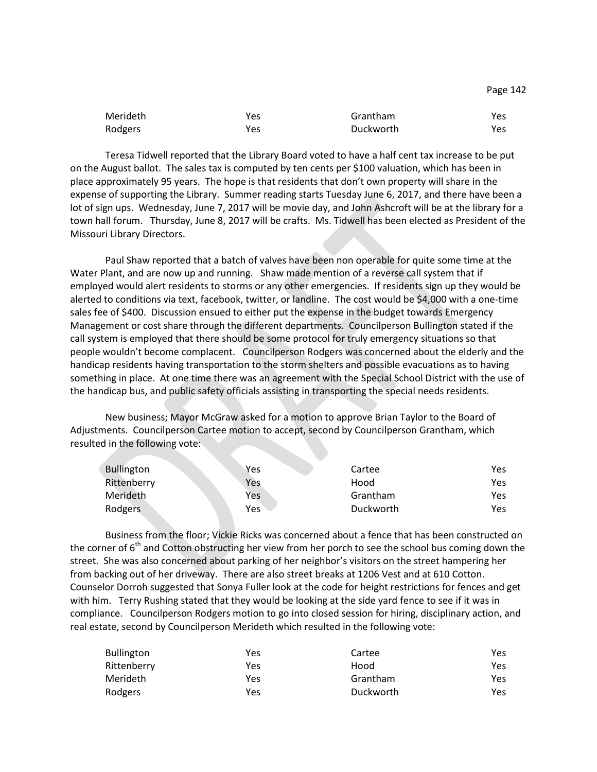|  | Page 142 |
|--|----------|
|--|----------|

| Merideth | Yes | Grantham  | Yes. |
|----------|-----|-----------|------|
| Rodgers  | Yes | Duckworth | Yes  |

Teresa Tidwell reported that the Library Board voted to have a half cent tax increase to be put on the August ballot. The sales tax is computed by ten cents per \$100 valuation, which has been in place approximately 95 years. The hope is that residents that don't own property will share in the expense of supporting the Library. Summer reading starts Tuesday June 6, 2017, and there have been a lot of sign ups. Wednesday, June 7, 2017 will be movie day, and John Ashcroft will be at the library for a town hall forum. Thursday, June 8, 2017 will be crafts. Ms. Tidwell has been elected as President of the Missouri Library Directors.

Paul Shaw reported that a batch of valves have been non operable for quite some time at the Water Plant, and are now up and running. Shaw made mention of a reverse call system that if employed would alert residents to storms or any other emergencies. If residents sign up they would be alerted to conditions via text, facebook, twitter, or landline. The cost would be \$4,000 with a one-time sales fee of \$400. Discussion ensued to either put the expense in the budget towards Emergency Management or cost share through the different departments. Councilperson Bullington stated if the call system is employed that there should be some protocol for truly emergency situations so that people wouldn't become complacent. Councilperson Rodgers was concerned about the elderly and the handicap residents having transportation to the storm shelters and possible evacuations as to having something in place. At one time there was an agreement with the Special School District with the use of the handicap bus, and public safety officials assisting in transporting the special needs residents.

New business; Mayor McGraw asked for a motion to approve Brian Taylor to the Board of Adjustments. Councilperson Cartee motion to accept, second by Councilperson Grantham, which resulted in the following vote:

| <b>Bullington</b> | <b>Yes</b> | Cartee    | Yes  |
|-------------------|------------|-----------|------|
| Rittenberry       | Yes        | Hood      | Yes. |
| Merideth          | Yes        | Grantham  | Yes. |
| Rodgers           | Yes        | Duckworth | Yes  |

Business from the floor; Vickie Ricks was concerned about a fence that has been constructed on the corner of  $6<sup>th</sup>$  and Cotton obstructing her view from her porch to see the school bus coming down the street. She was also concerned about parking of her neighbor's visitors on the street hampering her from backing out of her driveway. There are also street breaks at 1206 Vest and at 610 Cotton. Counselor Dorroh suggested that Sonya Fuller look at the code for height restrictions for fences and get with him. Terry Rushing stated that they would be looking at the side yard fence to see if it was in compliance. Councilperson Rodgers motion to go into closed session for hiring, disciplinary action, and real estate, second by Councilperson Merideth which resulted in the following vote:

| Bullington  | Yes | Cartee    | Yes. |
|-------------|-----|-----------|------|
| Rittenberry | Yes | Hood      | Yes  |
| Merideth    | Yes | Grantham  | Yes. |
| Rodgers     | Yes | Duckworth | Yes  |